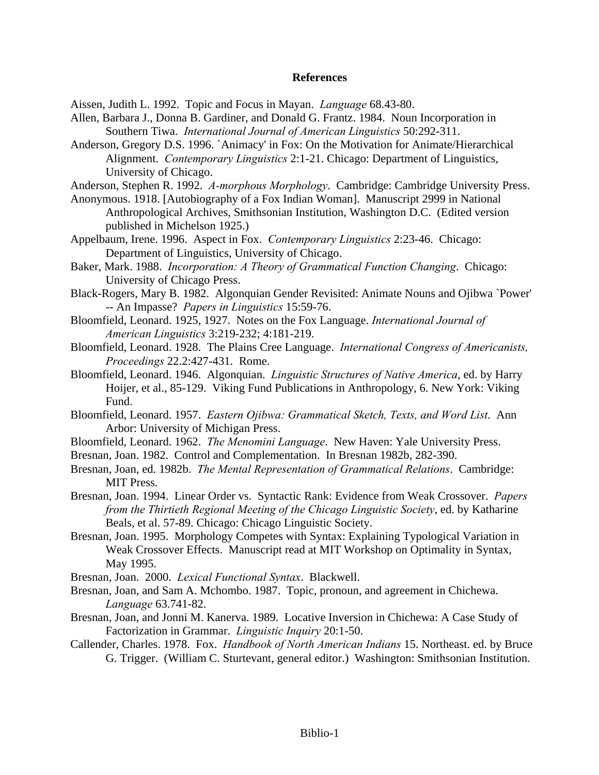## **References**

Aissen, Judith L. 1992. Topic and Focus in Mayan. *Language* 68.43-80.

- Allen, Barbara J., Donna B. Gardiner, and Donald G. Frantz. 1984. Noun Incorporation in Southern Tiwa. *International Journal of American Linguistics* 50:292-311.
- Anderson, Gregory D.S. 1996. `Animacy' in Fox: On the Motivation for Animate/Hierarchical Alignment. *Contemporary Linguistics* 2:1-21. Chicago: Department of Linguistics, University of Chicago.
- Anderson, Stephen R. 1992. *A-morphous Morphology*. Cambridge: Cambridge University Press.
- Anonymous. 1918. [Autobiography of a Fox Indian Woman]. Manuscript 2999 in National Anthropological Archives, Smithsonian Institution, Washington D.C. (Edited version published in Michelson 1925.)
- Appelbaum, Irene. 1996. Aspect in Fox. *Contemporary Linguistics* 2:23-46. Chicago: Department of Linguistics, University of Chicago.
- Baker, Mark. 1988. *Incorporation: A Theory of Grammatical Function Changing*. Chicago: University of Chicago Press.
- Black-Rogers, Mary B. 1982. Algonquian Gender Revisited: Animate Nouns and Ojibwa `Power' -- An Impasse? *Papers in Linguistics* 15:59-76.
- Bloomfield, Leonard. 1925, 1927. Notes on the Fox Language. *International Journal of American Linguistics* 3:219-232; 4:181-219.
- Bloomfield, Leonard. 1928. The Plains Cree Language. *International Congress of Americanists, Proceedings* 22.2:427-431. Rome.
- Bloomfield, Leonard. 1946. Algonquian. *Linguistic Structures of Native America*, ed. by Harry Hoijer, et al., 85-129. Viking Fund Publications in Anthropology, 6. New York: Viking Fund.
- Bloomfield, Leonard. 1957. *Eastern Ojibwa: Grammatical Sketch, Texts, and Word List*. Ann Arbor: University of Michigan Press.
- Bloomfield, Leonard. 1962. *The Menomini Language*. New Haven: Yale University Press.
- Bresnan, Joan. 1982. Control and Complementation. In Bresnan 1982b, 282-390.
- Bresnan, Joan, ed. 1982b. *The Mental Representation of Grammatical Relations*. Cambridge: MIT Press.
- Bresnan, Joan. 1994. Linear Order vs. Syntactic Rank: Evidence from Weak Crossover. *Papers from the Thirtieth Regional Meeting of the Chicago Linguistic Society*, ed. by Katharine Beals, et al. 57-89. Chicago: Chicago Linguistic Society.
- Bresnan, Joan. 1995. Morphology Competes with Syntax: Explaining Typological Variation in Weak Crossover Effects. Manuscript read at MIT Workshop on Optimality in Syntax, May 1995.
- Bresnan, Joan. 2000. *Lexical Functional Syntax*. Blackwell.
- Bresnan, Joan, and Sam A. Mchombo. 1987. Topic, pronoun, and agreement in Chichewa. *Language* 63.741-82.
- Bresnan, Joan, and Jonni M. Kanerva. 1989. Locative Inversion in Chichewa: A Case Study of Factorization in Grammar. *Linguistic Inquiry* 20:1-50.
- Callender, Charles. 1978. Fox. *Handbook of North American Indians* 15. Northeast. ed. by Bruce G. Trigger. (William C. Sturtevant, general editor.) Washington: Smithsonian Institution.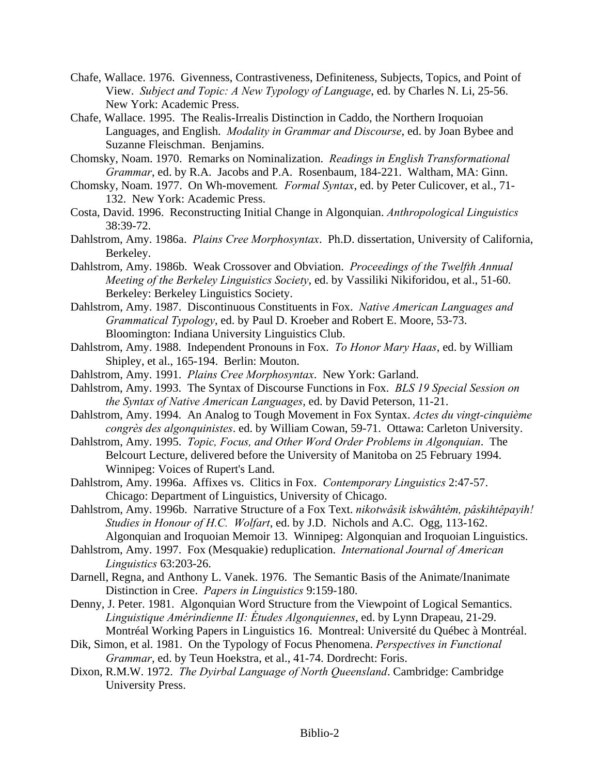- Chafe, Wallace. 1976. Givenness, Contrastiveness, Definiteness, Subjects, Topics, and Point of View. *Subject and Topic: A New Typology of Language*, ed. by Charles N. Li, 25-56. New York: Academic Press.
- Chafe, Wallace. 1995. The Realis-Irrealis Distinction in Caddo, the Northern Iroquoian Languages, and English. *Modality in Grammar and Discourse*, ed. by Joan Bybee and Suzanne Fleischman. Benjamins.
- Chomsky, Noam. 1970. Remarks on Nominalization. *Readings in English Transformational Grammar*, ed. by R.A. Jacobs and P.A. Rosenbaum, 184-221. Waltham, MA: Ginn.
- Chomsky, Noam. 1977. On Wh-movement*. Formal Syntax*, ed. by Peter Culicover, et al., 71- 132. New York: Academic Press.
- Costa, David. 1996. Reconstructing Initial Change in Algonquian. *Anthropological Linguistics* 38:39-72.
- Dahlstrom, Amy. 1986a. *Plains Cree Morphosyntax*. Ph.D. dissertation, University of California, Berkeley.
- Dahlstrom, Amy. 1986b. Weak Crossover and Obviation. *Proceedings of the Twelfth Annual Meeting of the Berkeley Linguistics Society*, ed. by Vassiliki Nikiforidou, et al., 51-60. Berkeley: Berkeley Linguistics Society.
- Dahlstrom, Amy. 1987. Discontinuous Constituents in Fox. *Native American Languages and Grammatical Typology*, ed. by Paul D. Kroeber and Robert E. Moore, 53-73. Bloomington: Indiana University Linguistics Club.
- Dahlstrom, Amy. 1988. Independent Pronouns in Fox. *To Honor Mary Haas*, ed. by William Shipley, et al., 165-194. Berlin: Mouton.
- Dahlstrom, Amy. 1991. *Plains Cree Morphosyntax*. New York: Garland.
- Dahlstrom, Amy. 1993. The Syntax of Discourse Functions in Fox. *BLS 19 Special Session on the Syntax of Native American Languages*, ed. by David Peterson, 11-21.
- Dahlstrom, Amy. 1994. An Analog to Tough Movement in Fox Syntax. *Actes du vingt-cinquième congrès des algonquinistes*. ed. by William Cowan, 59-71. Ottawa: Carleton University.
- Dahlstrom, Amy. 1995. *Topic, Focus, and Other Word Order Problems in Algonquian*. The Belcourt Lecture, delivered before the University of Manitoba on 25 February 1994. Winnipeg: Voices of Rupert's Land.
- Dahlstrom, Amy. 1996a. Affixes vs. Clitics in Fox. *Contemporary Linguistics* 2:47-57. Chicago: Department of Linguistics, University of Chicago.
- Dahlstrom, Amy. 1996b. Narrative Structure of a Fox Text. *nikotwâsik iskwâhtêm, pâskihtêpayih! Studies in Honour of H.C. Wolfart*, ed. by J.D. Nichols and A.C. Ogg, 113-162. Algonquian and Iroquoian Memoir 13. Winnipeg: Algonquian and Iroquoian Linguistics.
- Dahlstrom, Amy. 1997. Fox (Mesquakie) reduplication. *International Journal of American Linguistics* 63:203-26.
- Darnell, Regna, and Anthony L. Vanek. 1976. The Semantic Basis of the Animate/Inanimate Distinction in Cree. *Papers in Linguistics* 9:159-180.
- Denny, J. Peter. 1981. Algonquian Word Structure from the Viewpoint of Logical Semantics. *Linguistique Amérindienne II: Études Algonquiennes*, ed. by Lynn Drapeau, 21-29. Montréal Working Papers in Linguistics 16. Montreal: Université du Québec à Montréal.
- Dik, Simon, et al. 1981. On the Typology of Focus Phenomena. *Perspectives in Functional Grammar*, ed. by Teun Hoekstra, et al., 41-74. Dordrecht: Foris.
- Dixon, R.M.W. 1972. *The Dyirbal Language of North Queensland*. Cambridge: Cambridge University Press.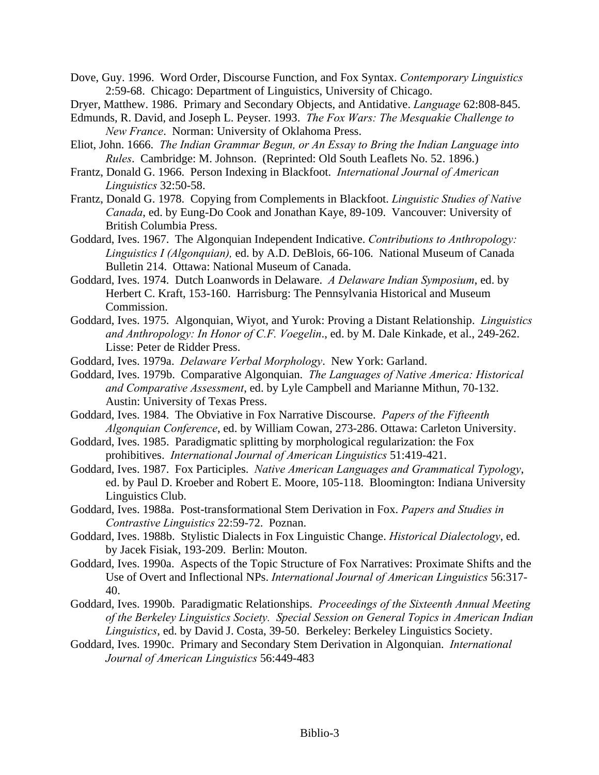Dove, Guy. 1996. Word Order, Discourse Function, and Fox Syntax. *Contemporary Linguistics* 2:59-68. Chicago: Department of Linguistics, University of Chicago.

- Dryer, Matthew. 1986. Primary and Secondary Objects, and Antidative. *Language* 62:808-845.
- Edmunds, R. David, and Joseph L. Peyser. 1993. *The Fox Wars: The Mesquakie Challenge to New France*. Norman: University of Oklahoma Press.
- Eliot, John. 1666. *The Indian Grammar Begun, or An Essay to Bring the Indian Language into Rules*. Cambridge: M. Johnson. (Reprinted: Old South Leaflets No. 52. 1896.)
- Frantz, Donald G. 1966. Person Indexing in Blackfoot. *International Journal of American Linguistics* 32:50-58.
- Frantz, Donald G. 1978. Copying from Complements in Blackfoot. *Linguistic Studies of Native Canada*, ed. by Eung-Do Cook and Jonathan Kaye, 89-109. Vancouver: University of British Columbia Press.
- Goddard, Ives. 1967. The Algonquian Independent Indicative. *Contributions to Anthropology: Linguistics I (Algonquian),* ed. by A.D. DeBlois, 66-106. National Museum of Canada Bulletin 214. Ottawa: National Museum of Canada.
- Goddard, Ives. 1974. Dutch Loanwords in Delaware. *A Delaware Indian Symposium*, ed. by Herbert C. Kraft, 153-160. Harrisburg: The Pennsylvania Historical and Museum Commission.
- Goddard, Ives. 1975. Algonquian, Wiyot, and Yurok: Proving a Distant Relationship. *Linguistics and Anthropology: In Honor of C.F. Voegelin*., ed. by M. Dale Kinkade, et al., 249-262. Lisse: Peter de Ridder Press.
- Goddard, Ives. 1979a. *Delaware Verbal Morphology*. New York: Garland.
- Goddard, Ives. 1979b. Comparative Algonquian. *The Languages of Native America: Historical and Comparative Assessment*, ed. by Lyle Campbell and Marianne Mithun, 70-132. Austin: University of Texas Press.
- Goddard, Ives. 1984. The Obviative in Fox Narrative Discourse. *Papers of the Fifteenth Algonquian Conference*, ed. by William Cowan, 273-286. Ottawa: Carleton University.
- Goddard, Ives. 1985. Paradigmatic splitting by morphological regularization: the Fox prohibitives. *International Journal of American Linguistics* 51:419-421.
- Goddard, Ives. 1987. Fox Participles. *Native American Languages and Grammatical Typology*, ed. by Paul D. Kroeber and Robert E. Moore, 105-118. Bloomington: Indiana University Linguistics Club.
- Goddard, Ives. 1988a. Post-transformational Stem Derivation in Fox. *Papers and Studies in Contrastive Linguistics* 22:59-72. Poznan.
- Goddard, Ives. 1988b. Stylistic Dialects in Fox Linguistic Change. *Historical Dialectology*, ed. by Jacek Fisiak, 193-209. Berlin: Mouton.
- Goddard, Ives. 1990a. Aspects of the Topic Structure of Fox Narratives: Proximate Shifts and the Use of Overt and Inflectional NPs. *International Journal of American Linguistics* 56:317- 40.
- Goddard, Ives. 1990b. Paradigmatic Relationships. *Proceedings of the Sixteenth Annual Meeting of the Berkeley Linguistics Society. Special Session on General Topics in American Indian Linguistics*, ed. by David J. Costa, 39-50. Berkeley: Berkeley Linguistics Society.
- Goddard, Ives. 1990c. Primary and Secondary Stem Derivation in Algonquian. *International Journal of American Linguistics* 56:449-483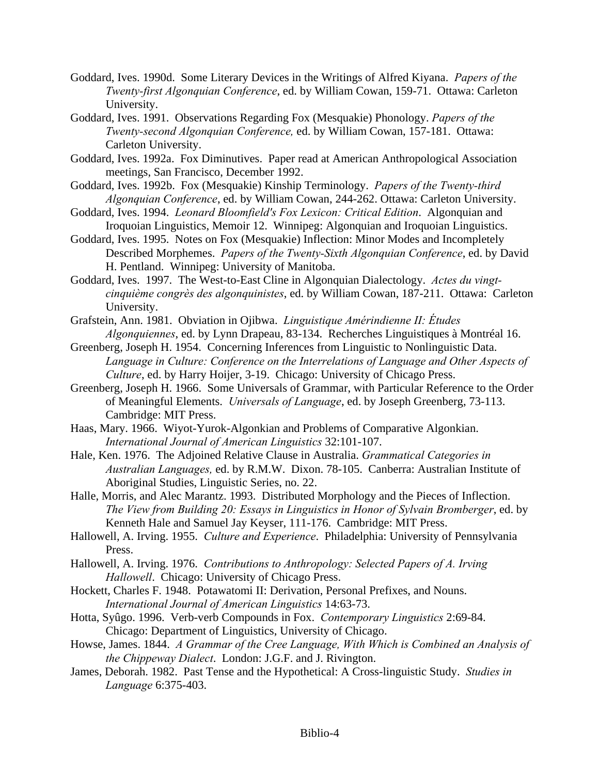- Goddard, Ives. 1990d. Some Literary Devices in the Writings of Alfred Kiyana. *Papers of the Twenty-first Algonquian Conference*, ed. by William Cowan, 159-71. Ottawa: Carleton University.
- Goddard, Ives. 1991. Observations Regarding Fox (Mesquakie) Phonology. *Papers of the Twenty-second Algonquian Conference,* ed. by William Cowan, 157-181. Ottawa: Carleton University.
- Goddard, Ives. 1992a. Fox Diminutives. Paper read at American Anthropological Association meetings, San Francisco, December 1992.
- Goddard, Ives. 1992b. Fox (Mesquakie) Kinship Terminology. *Papers of the Twenty-third Algonquian Conference*, ed. by William Cowan, 244-262. Ottawa: Carleton University.
- Goddard, Ives. 1994. *Leonard Bloomfield's Fox Lexicon: Critical Edition*. Algonquian and Iroquoian Linguistics, Memoir 12. Winnipeg: Algonquian and Iroquoian Linguistics.
- Goddard, Ives. 1995. Notes on Fox (Mesquakie) Inflection: Minor Modes and Incompletely Described Morphemes. *Papers of the Twenty-Sixth Algonquian Conference*, ed. by David H. Pentland. Winnipeg: University of Manitoba.
- Goddard, Ives. 1997. The West-to-East Cline in Algonquian Dialectology. *Actes du vingtcinquième congrès des algonquinistes*, ed. by William Cowan, 187-211. Ottawa: Carleton University.
- Grafstein, Ann. 1981. Obviation in Ojibwa. *Linguistique Amérindienne II: Études Algonquiennes*, ed. by Lynn Drapeau, 83-134. Recherches Linguistiques à Montréal 16.
- Greenberg, Joseph H. 1954. Concerning Inferences from Linguistic to Nonlinguistic Data. *Language in Culture: Conference on the Interrelations of Language and Other Aspects of Culture*, ed. by Harry Hoijer, 3-19. Chicago: University of Chicago Press.
- Greenberg, Joseph H. 1966. Some Universals of Grammar, with Particular Reference to the Order of Meaningful Elements. *Universals of Language*, ed. by Joseph Greenberg, 73-113. Cambridge: MIT Press.
- Haas, Mary. 1966. Wiyot-Yurok-Algonkian and Problems of Comparative Algonkian. *International Journal of American Linguistics* 32:101-107.
- Hale, Ken. 1976. The Adjoined Relative Clause in Australia. *Grammatical Categories in Australian Languages,* ed. by R.M.W. Dixon. 78-105. Canberra: Australian Institute of Aboriginal Studies, Linguistic Series, no. 22.
- Halle, Morris, and Alec Marantz. 1993. Distributed Morphology and the Pieces of Inflection. *The View from Building 20: Essays in Linguistics in Honor of Sylvain Bromberger*, ed. by Kenneth Hale and Samuel Jay Keyser, 111-176. Cambridge: MIT Press.
- Hallowell, A. Irving. 1955. *Culture and Experience*. Philadelphia: University of Pennsylvania Press.
- Hallowell, A. Irving. 1976. *Contributions to Anthropology: Selected Papers of A. Irving Hallowell*. Chicago: University of Chicago Press.
- Hockett, Charles F. 1948. Potawatomi II: Derivation, Personal Prefixes, and Nouns. *International Journal of American Linguistics* 14:63-73.
- Hotta, Syûgo. 1996. Verb-verb Compounds in Fox. *Contemporary Linguistics* 2:69-84. Chicago: Department of Linguistics, University of Chicago.
- Howse, James. 1844. *A Grammar of the Cree Language, With Which is Combined an Analysis of the Chippeway Dialect*. London: J.G.F. and J. Rivington.
- James, Deborah. 1982. Past Tense and the Hypothetical: A Cross-linguistic Study. *Studies in Language* 6:375-403.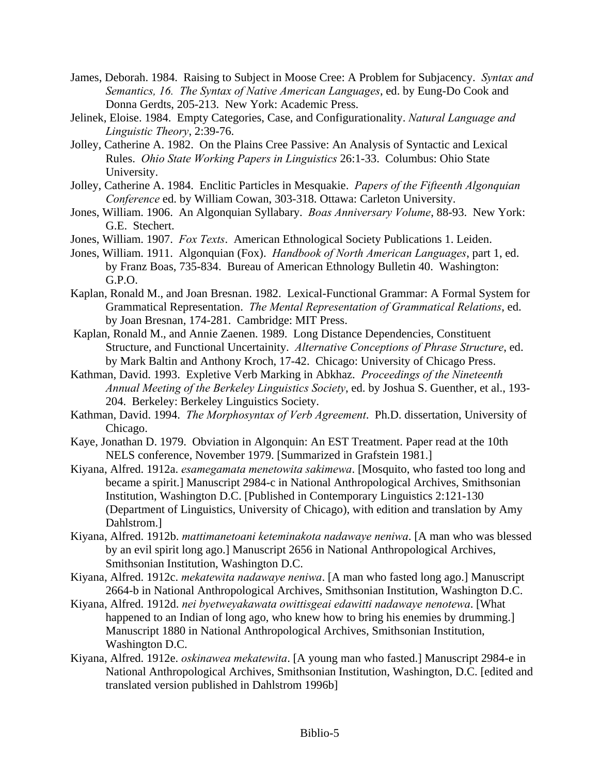- James, Deborah. 1984. Raising to Subject in Moose Cree: A Problem for Subjacency. *Syntax and Semantics, 16. The Syntax of Native American Languages*, ed. by Eung-Do Cook and Donna Gerdts, 205-213. New York: Academic Press.
- Jelinek, Eloise. 1984. Empty Categories, Case, and Configurationality. *Natural Language and Linguistic Theory*, 2:39-76.
- Jolley, Catherine A. 1982. On the Plains Cree Passive: An Analysis of Syntactic and Lexical Rules. *Ohio State Working Papers in Linguistics* 26:1-33. Columbus: Ohio State University.
- Jolley, Catherine A. 1984. Enclitic Particles in Mesquakie. *Papers of the Fifteenth Algonquian Conference* ed. by William Cowan, 303-318. Ottawa: Carleton University.
- Jones, William. 1906. An Algonquian Syllabary. *Boas Anniversary Volume*, 88-93. New York: G.E. Stechert.
- Jones, William. 1907. *Fox Texts*. American Ethnological Society Publications 1. Leiden.
- Jones, William. 1911. Algonquian (Fox). *Handbook of North American Languages*, part 1, ed. by Franz Boas, 735-834. Bureau of American Ethnology Bulletin 40. Washington: G.P.O.
- Kaplan, Ronald M., and Joan Bresnan. 1982. Lexical-Functional Grammar: A Formal System for Grammatical Representation. *The Mental Representation of Grammatical Relations*, ed. by Joan Bresnan, 174-281. Cambridge: MIT Press.
- Kaplan, Ronald M., and Annie Zaenen. 1989. Long Distance Dependencies, Constituent Structure, and Functional Uncertainity. *Alternative Conceptions of Phrase Structure*, ed. by Mark Baltin and Anthony Kroch, 17-42. Chicago: University of Chicago Press.
- Kathman, David. 1993. Expletive Verb Marking in Abkhaz. *Proceedings of the Nineteenth Annual Meeting of the Berkeley Linguistics Society*, ed. by Joshua S. Guenther, et al., 193- 204. Berkeley: Berkeley Linguistics Society.
- Kathman, David. 1994. *The Morphosyntax of Verb Agreement*. Ph.D. dissertation, University of Chicago.
- Kaye, Jonathan D. 1979. Obviation in Algonquin: An EST Treatment. Paper read at the 10th NELS conference, November 1979. [Summarized in Grafstein 1981.]
- Kiyana, Alfred. 1912a. *esamegamata menetowita sakimewa*. [Mosquito, who fasted too long and became a spirit.] Manuscript 2984-c in National Anthropological Archives, Smithsonian Institution, Washington D.C. [Published in Contemporary Linguistics 2:121-130 (Department of Linguistics, University of Chicago), with edition and translation by Amy Dahlstrom.]
- Kiyana, Alfred. 1912b. *mattimanetoani keteminakota nadawaye neniwa*. [A man who was blessed by an evil spirit long ago.] Manuscript 2656 in National Anthropological Archives, Smithsonian Institution, Washington D.C.
- Kiyana, Alfred. 1912c. *mekatewita nadawaye neniwa*. [A man who fasted long ago.] Manuscript 2664-b in National Anthropological Archives, Smithsonian Institution, Washington D.C.
- Kiyana, Alfred. 1912d. *nei byetweyakawata owittisgeai edawitti nadawaye nenotewa*. [What happened to an Indian of long ago, who knew how to bring his enemies by drumming. Manuscript 1880 in National Anthropological Archives, Smithsonian Institution, Washington D.C.
- Kiyana, Alfred. 1912e. *oskinawea mekatewita*. [A young man who fasted.] Manuscript 2984-e in National Anthropological Archives, Smithsonian Institution, Washington, D.C. [edited and translated version published in Dahlstrom 1996b]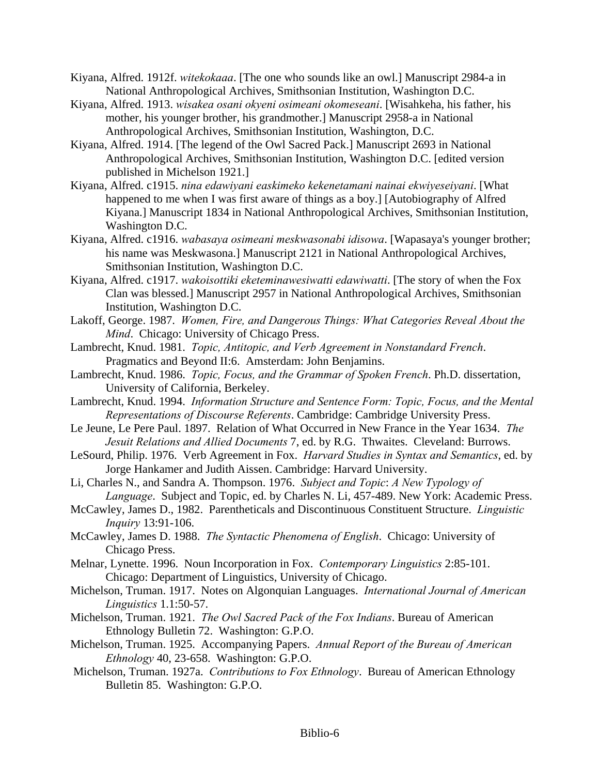- Kiyana, Alfred. 1912f. *witekokaaa*. [The one who sounds like an owl.] Manuscript 2984-a in National Anthropological Archives, Smithsonian Institution, Washington D.C.
- Kiyana, Alfred. 1913. *wisakea osani okyeni osimeani okomeseani*. [Wisahkeha, his father, his mother, his younger brother, his grandmother.] Manuscript 2958-a in National Anthropological Archives, Smithsonian Institution, Washington, D.C.
- Kiyana, Alfred. 1914. [The legend of the Owl Sacred Pack.] Manuscript 2693 in National Anthropological Archives, Smithsonian Institution, Washington D.C. [edited version published in Michelson 1921.]
- Kiyana, Alfred. c1915. *nina edawiyani easkimeko kekenetamani nainai ekwiyeseiyani*. [What happened to me when I was first aware of things as a boy.] [Autobiography of Alfred Kiyana.] Manuscript 1834 in National Anthropological Archives, Smithsonian Institution, Washington D.C.
- Kiyana, Alfred. c1916. *wabasaya osimeani meskwasonabi idisowa*. [Wapasaya's younger brother; his name was Meskwasona.] Manuscript 2121 in National Anthropological Archives, Smithsonian Institution, Washington D.C.
- Kiyana, Alfred. c1917. *wakoisottiki eketeminawesiwatti edawiwatti*. [The story of when the Fox Clan was blessed.] Manuscript 2957 in National Anthropological Archives, Smithsonian Institution, Washington D.C.
- Lakoff, George. 1987. *Women, Fire, and Dangerous Things: What Categories Reveal About the Mind*. Chicago: University of Chicago Press.
- Lambrecht, Knud. 1981. *Topic, Antitopic, and Verb Agreement in Nonstandard French*. Pragmatics and Beyond II:6. Amsterdam: John Benjamins.
- Lambrecht, Knud. 1986. *Topic, Focus, and the Grammar of Spoken French*. Ph.D. dissertation, University of California, Berkeley.
- Lambrecht, Knud. 1994. *Information Structure and Sentence Form: Topic, Focus, and the Mental Representations of Discourse Referents*. Cambridge: Cambridge University Press.
- Le Jeune, Le Pere Paul. 1897. Relation of What Occurred in New France in the Year 1634. *The Jesuit Relations and Allied Documents* 7, ed. by R.G. Thwaites. Cleveland: Burrows.
- LeSourd, Philip. 1976. Verb Agreement in Fox. *Harvard Studies in Syntax and Semantics*, ed. by Jorge Hankamer and Judith Aissen. Cambridge: Harvard University.
- Li, Charles N., and Sandra A. Thompson. 1976. *Subject and Topic*: *A New Typology of Language*. Subject and Topic, ed. by Charles N. Li, 457-489. New York: Academic Press.
- McCawley, James D., 1982. Parentheticals and Discontinuous Constituent Structure. *Linguistic Inquiry* 13:91-106.
- McCawley, James D. 1988. *The Syntactic Phenomena of English*. Chicago: University of Chicago Press.
- Melnar, Lynette. 1996. Noun Incorporation in Fox. *Contemporary Linguistics* 2:85-101. Chicago: Department of Linguistics, University of Chicago.
- Michelson, Truman. 1917. Notes on Algonquian Languages. *International Journal of American Linguistics* 1.1:50-57.
- Michelson, Truman. 1921. *The Owl Sacred Pack of the Fox Indians*. Bureau of American Ethnology Bulletin 72. Washington: G.P.O.
- Michelson, Truman. 1925. Accompanying Papers. *Annual Report of the Bureau of American Ethnology* 40, 23-658. Washington: G.P.O.
- Michelson, Truman. 1927a. *Contributions to Fox Ethnology*. Bureau of American Ethnology Bulletin 85. Washington: G.P.O.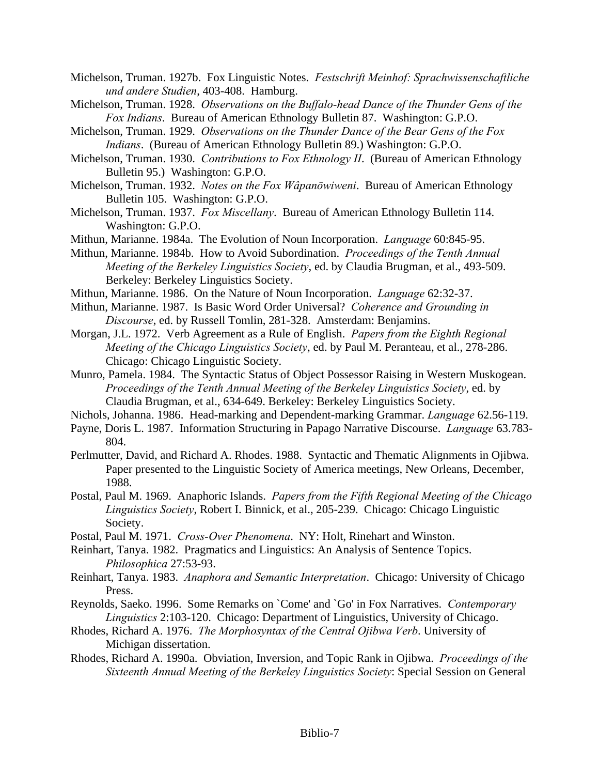- Michelson, Truman. 1927b. Fox Linguistic Notes. *Festschrift Meinhof: Sprachwissenschaftliche und andere Studien*, 403-408. Hamburg.
- Michelson, Truman. 1928. *Observations on the Buffalo-head Dance of the Thunder Gens of the Fox Indians*. Bureau of American Ethnology Bulletin 87. Washington: G.P.O.
- Michelson, Truman. 1929. *Observations on the Thunder Dance of the Bear Gens of the Fox Indians*. (Bureau of American Ethnology Bulletin 89.) Washington: G.P.O.
- Michelson, Truman. 1930. *Contributions to Fox Ethnology II*. (Bureau of American Ethnology Bulletin 95.) Washington: G.P.O.
- Michelson, Truman. 1932. *Notes on the Fox Wâpanōwiweni*. Bureau of American Ethnology Bulletin 105. Washington: G.P.O.
- Michelson, Truman. 1937. *Fox Miscellany*. Bureau of American Ethnology Bulletin 114. Washington: G.P.O.
- Mithun, Marianne. 1984a. The Evolution of Noun Incorporation. *Language* 60:845-95.
- Mithun, Marianne. 1984b. How to Avoid Subordination. *Proceedings of the Tenth Annual Meeting of the Berkeley Linguistics Society*, ed. by Claudia Brugman, et al., 493-509. Berkeley: Berkeley Linguistics Society.
- Mithun, Marianne. 1986. On the Nature of Noun Incorporation. *Language* 62:32-37.
- Mithun, Marianne. 1987. Is Basic Word Order Universal? *Coherence and Grounding in Discourse*, ed. by Russell Tomlin, 281-328. Amsterdam: Benjamins.
- Morgan, J.L. 1972. Verb Agreement as a Rule of English. *Papers from the Eighth Regional Meeting of the Chicago Linguistics Society*, ed. by Paul M. Peranteau, et al., 278-286. Chicago: Chicago Linguistic Society.
- Munro, Pamela. 1984. The Syntactic Status of Object Possessor Raising in Western Muskogean. *Proceedings of the Tenth Annual Meeting of the Berkeley Linguistics Society*, ed. by Claudia Brugman, et al., 634-649. Berkeley: Berkeley Linguistics Society.
- Nichols, Johanna. 1986. Head-marking and Dependent-marking Grammar. *Language* 62.56-119.
- Payne, Doris L. 1987. Information Structuring in Papago Narrative Discourse. *Language* 63.783- 804.
- Perlmutter, David, and Richard A. Rhodes. 1988. Syntactic and Thematic Alignments in Ojibwa. Paper presented to the Linguistic Society of America meetings, New Orleans, December, 1988.
- Postal, Paul M. 1969. Anaphoric Islands. *Papers from the Fifth Regional Meeting of the Chicago Linguistics Society*, Robert I. Binnick, et al., 205-239. Chicago: Chicago Linguistic Society.
- Postal, Paul M. 1971. *Cross-Over Phenomena*. NY: Holt, Rinehart and Winston.
- Reinhart, Tanya. 1982. Pragmatics and Linguistics: An Analysis of Sentence Topics. *Philosophica* 27:53-93.
- Reinhart, Tanya. 1983. *Anaphora and Semantic Interpretation*. Chicago: University of Chicago Press.
- Reynolds, Saeko. 1996. Some Remarks on `Come' and `Go' in Fox Narratives. *Contemporary Linguistics* 2:103-120. Chicago: Department of Linguistics, University of Chicago.
- Rhodes, Richard A. 1976. *The Morphosyntax of the Central Ojibwa Verb*. University of Michigan dissertation.
- Rhodes, Richard A. 1990a. Obviation, Inversion, and Topic Rank in Ojibwa. *Proceedings of the Sixteenth Annual Meeting of the Berkeley Linguistics Society*: Special Session on General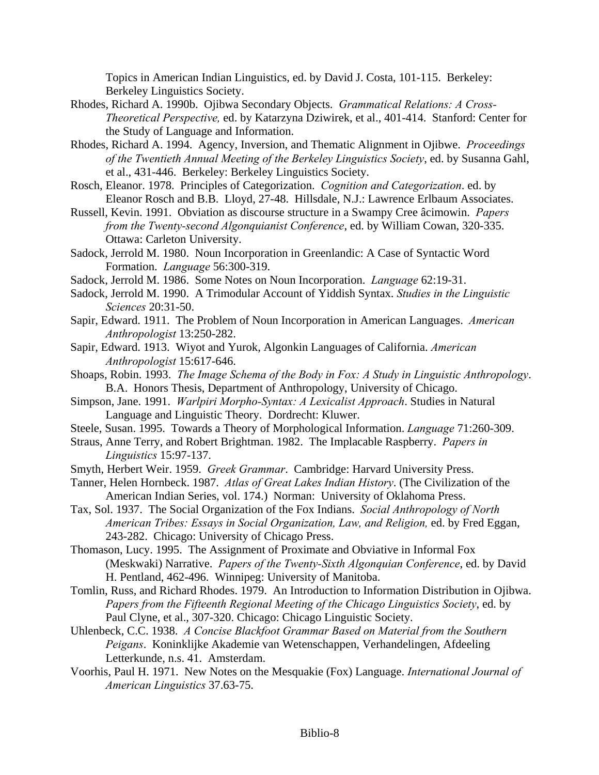Topics in American Indian Linguistics, ed. by David J. Costa, 101-115. Berkeley: Berkeley Linguistics Society.

- Rhodes, Richard A. 1990b. Ojibwa Secondary Objects. *Grammatical Relations: A Cross-Theoretical Perspective,* ed. by Katarzyna Dziwirek, et al., 401-414. Stanford: Center for the Study of Language and Information.
- Rhodes, Richard A. 1994. Agency, Inversion, and Thematic Alignment in Ojibwe. *Proceedings of the Twentieth Annual Meeting of the Berkeley Linguistics Society*, ed. by Susanna Gahl, et al., 431-446. Berkeley: Berkeley Linguistics Society.
- Rosch, Eleanor. 1978. Principles of Categorization. *Cognition and Categorization*. ed. by Eleanor Rosch and B.B. Lloyd, 27-48. Hillsdale, N.J.: Lawrence Erlbaum Associates.
- Russell, Kevin. 1991. Obviation as discourse structure in a Swampy Cree âcimowin. *Papers from the Twenty-second Algonquianist Conference*, ed. by William Cowan, 320-335. Ottawa: Carleton University.
- Sadock, Jerrold M. 1980. Noun Incorporation in Greenlandic: A Case of Syntactic Word Formation. *Language* 56:300-319.
- Sadock, Jerrold M. 1986. Some Notes on Noun Incorporation. *Language* 62:19-31.
- Sadock, Jerrold M. 1990. A Trimodular Account of Yiddish Syntax. *Studies in the Linguistic Sciences* 20:31-50.
- Sapir, Edward. 1911. The Problem of Noun Incorporation in American Languages. *American Anthropologist* 13:250-282.
- Sapir, Edward. 1913. Wiyot and Yurok, Algonkin Languages of California. *American Anthropologist* 15:617-646.
- Shoaps, Robin. 1993. *The Image Schema of the Body in Fox: A Study in Linguistic Anthropology*. B.A. Honors Thesis, Department of Anthropology, University of Chicago.
- Simpson, Jane. 1991. *Warlpiri Morpho-Syntax: A Lexicalist Approach*. Studies in Natural Language and Linguistic Theory. Dordrecht: Kluwer.
- Steele, Susan. 1995. Towards a Theory of Morphological Information. *Language* 71:260-309.
- Straus, Anne Terry, and Robert Brightman. 1982. The Implacable Raspberry. *Papers in Linguistics* 15:97-137.
- Smyth, Herbert Weir. 1959. *Greek Grammar*. Cambridge: Harvard University Press.
- Tanner, Helen Hornbeck. 1987. *Atlas of Great Lakes Indian History*. (The Civilization of the American Indian Series, vol. 174.) Norman: University of Oklahoma Press.
- Tax, Sol. 1937. The Social Organization of the Fox Indians. *Social Anthropology of North American Tribes: Essays in Social Organization, Law, and Religion,* ed. by Fred Eggan, 243-282. Chicago: University of Chicago Press.
- Thomason, Lucy. 1995. The Assignment of Proximate and Obviative in Informal Fox (Meskwaki) Narrative. *Papers of the Twenty-Sixth Algonquian Conference*, ed. by David H. Pentland, 462-496. Winnipeg: University of Manitoba.
- Tomlin, Russ, and Richard Rhodes. 1979. An Introduction to Information Distribution in Ojibwa. *Papers from the Fifteenth Regional Meeting of the Chicago Linguistics Society*, ed. by Paul Clyne, et al., 307-320. Chicago: Chicago Linguistic Society.
- Uhlenbeck, C.C. 1938. *A Concise Blackfoot Grammar Based on Material from the Southern Peigans*. Koninklijke Akademie van Wetenschappen, Verhandelingen, Afdeeling Letterkunde, n.s. 41. Amsterdam.
- Voorhis, Paul H. 1971. New Notes on the Mesquakie (Fox) Language. *International Journal of American Linguistics* 37.63-75.